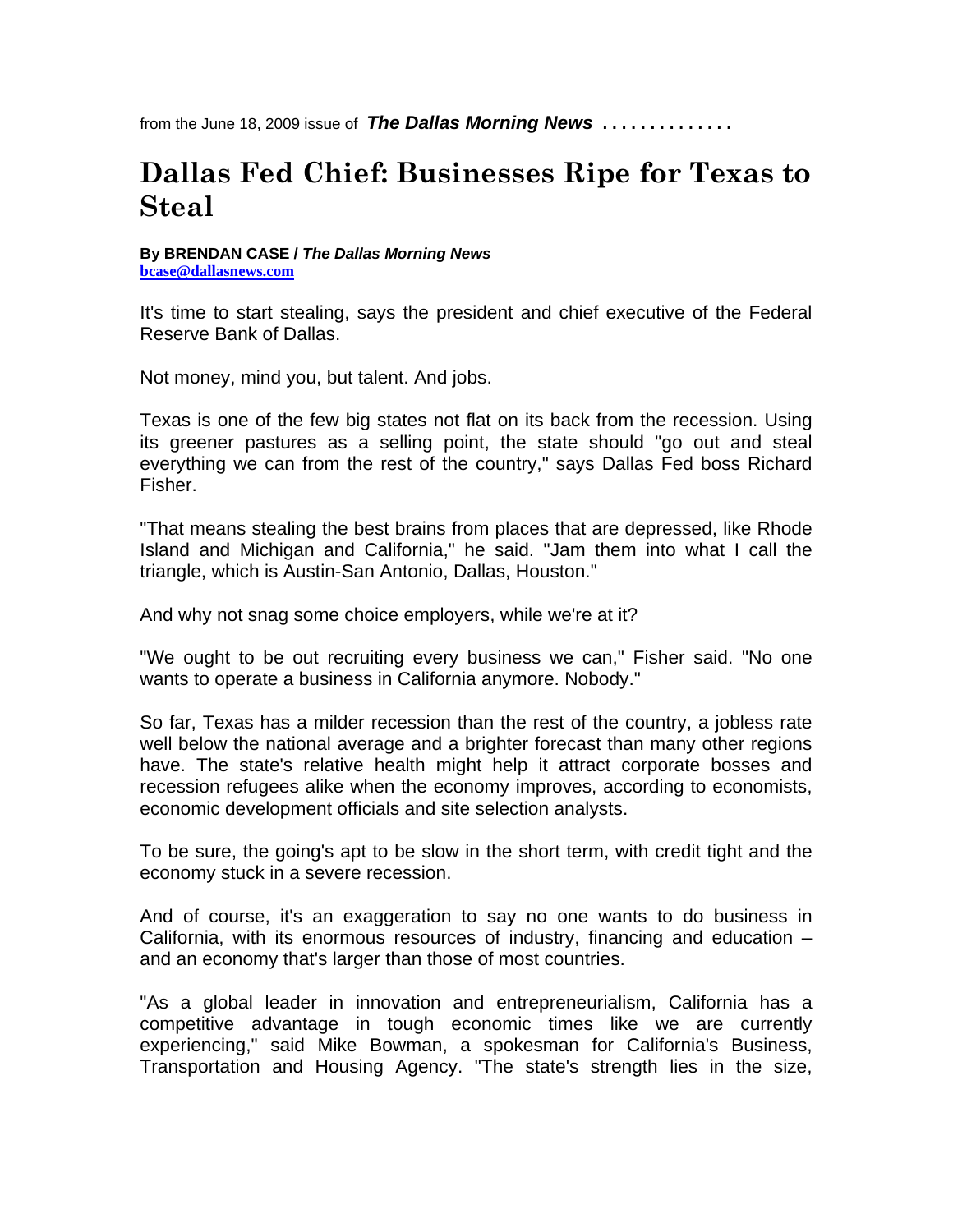from the June 18, 2009 issue of *The Dallas Morning News* **. . . . . . . . . . . . . .** 

## **Dallas Fed Chief: Businesses Ripe for Texas to Steal**

## **By BRENDAN CASE /** *The Dallas Morning News*  **bcase@dallasnews.com**

It's time to start stealing, says the president and chief executive of the Federal Reserve Bank of Dallas.

Not money, mind you, but talent. And jobs.

Texas is one of the few big states not flat on its back from the recession. Using its greener pastures as a selling point, the state should "go out and steal everything we can from the rest of the country," says Dallas Fed boss Richard Fisher.

"That means stealing the best brains from places that are depressed, like Rhode Island and Michigan and California," he said. "Jam them into what I call the triangle, which is Austin-San Antonio, Dallas, Houston."

And why not snag some choice employers, while we're at it?

"We ought to be out recruiting every business we can," Fisher said. "No one wants to operate a business in California anymore. Nobody."

So far, Texas has a milder recession than the rest of the country, a jobless rate well below the national average and a brighter forecast than many other regions have. The state's relative health might help it attract corporate bosses and recession refugees alike when the economy improves, according to economists, economic development officials and site selection analysts.

To be sure, the going's apt to be slow in the short term, with credit tight and the economy stuck in a severe recession.

And of course, it's an exaggeration to say no one wants to do business in California, with its enormous resources of industry, financing and education – and an economy that's larger than those of most countries.

"As a global leader in innovation and entrepreneurialism, California has a competitive advantage in tough economic times like we are currently experiencing," said Mike Bowman, a spokesman for California's Business, Transportation and Housing Agency. "The state's strength lies in the size,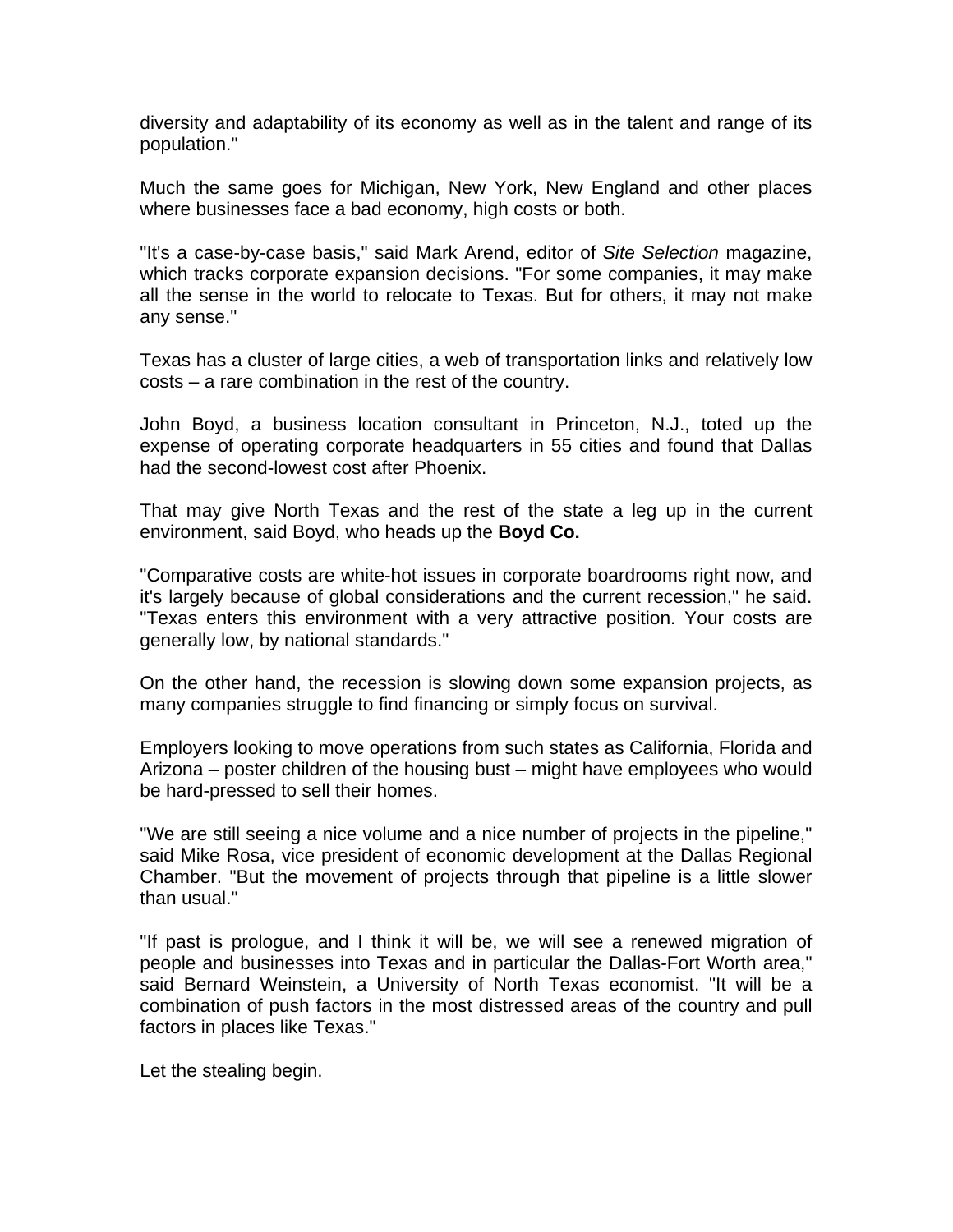diversity and adaptability of its economy as well as in the talent and range of its population."

Much the same goes for Michigan, New York, New England and other places where businesses face a bad economy, high costs or both.

"It's a case-by-case basis," said Mark Arend, editor of *Site Selection* magazine, which tracks corporate expansion decisions. "For some companies, it may make all the sense in the world to relocate to Texas. But for others, it may not make any sense."

Texas has a cluster of large cities, a web of transportation links and relatively low costs – a rare combination in the rest of the country.

John Boyd, a business location consultant in Princeton, N.J., toted up the expense of operating corporate headquarters in 55 cities and found that Dallas had the second-lowest cost after Phoenix.

That may give North Texas and the rest of the state a leg up in the current environment, said Boyd, who heads up the **Boyd Co.**

"Comparative costs are white-hot issues in corporate boardrooms right now, and it's largely because of global considerations and the current recession," he said. "Texas enters this environment with a very attractive position. Your costs are generally low, by national standards."

On the other hand, the recession is slowing down some expansion projects, as many companies struggle to find financing or simply focus on survival.

Employers looking to move operations from such states as California, Florida and Arizona – poster children of the housing bust – might have employees who would be hard-pressed to sell their homes.

"We are still seeing a nice volume and a nice number of projects in the pipeline," said Mike Rosa, vice president of economic development at the Dallas Regional Chamber. "But the movement of projects through that pipeline is a little slower than usual."

"If past is prologue, and I think it will be, we will see a renewed migration of people and businesses into Texas and in particular the Dallas-Fort Worth area," said Bernard Weinstein, a University of North Texas economist. "It will be a combination of push factors in the most distressed areas of the country and pull factors in places like Texas."

Let the stealing begin.